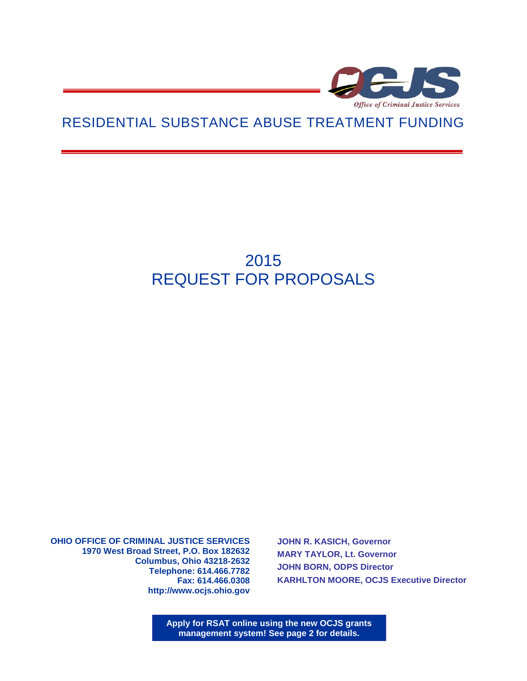

## RESIDENTIAL SUBSTANCE ABUSE TREATMENT FUNDING

# 2015 REQUEST FOR PROPOSALS

**OHIO OFFICE OF CRIMINAL JUSTICE SERVICES 1970 West Broad Street, P.O. Box 182632 Columbus, Ohio 43218-2632 Telephone: 614.466.7782 Fax: 614.466.0308 http://www.ocjs.ohio.gov** 

**JOHN R. KASICH, Governor MARY TAYLOR, Lt. Governor JOHN BORN, ODPS Director KARHLTON MOORE, OCJS Executive Director**

**Apply for RSAT online using the new OCJS grants management system! See page 2 for details.**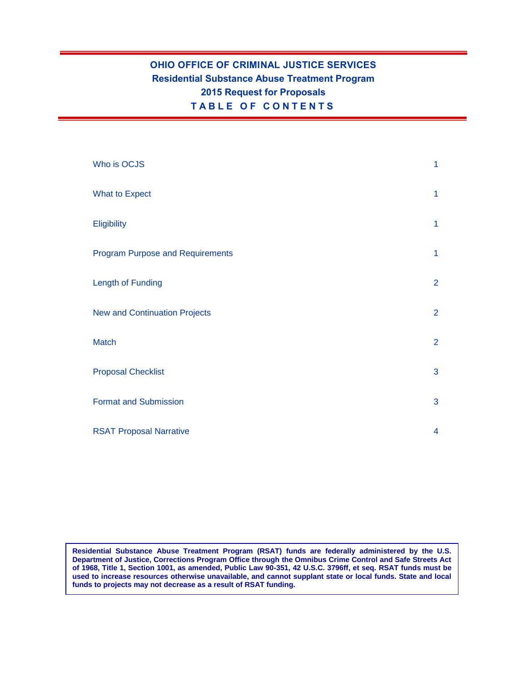### **OHIO OFFICE OF CRIMINAL JUSTICE SERVICES Residential Substance Abuse Treatment Program 2015 Request for Proposals T A B L E O F C O N T E N T S**

| Who is OCJS                             | $\mathbf{1}$            |
|-----------------------------------------|-------------------------|
| <b>What to Expect</b>                   | $\mathbf{1}$            |
| Eligibility                             | $\mathbf{1}$            |
| <b>Program Purpose and Requirements</b> | $\mathbf{1}$            |
| Length of Funding                       | $\overline{2}$          |
| <b>New and Continuation Projects</b>    | $\overline{2}$          |
| <b>Match</b>                            | $\overline{2}$          |
| <b>Proposal Checklist</b>               | 3                       |
| <b>Format and Submission</b>            | 3                       |
| <b>RSAT Proposal Narrative</b>          | $\overline{\mathbf{4}}$ |

**Residential Substance Abuse Treatment Program (RSAT) funds are federally administered by the U.S. Department of Justice, Corrections Program Office through the Omnibus Crime Control and Safe Streets Act of 1968, Title 1, Section 1001, as amended, Public Law 90-351, 42 U.S.C. 3796ff, et seq. RSAT funds must be used to increase resources otherwise unavailable, and cannot supplant state or local funds. State and local funds to projects may not decrease as a result of RSAT funding.**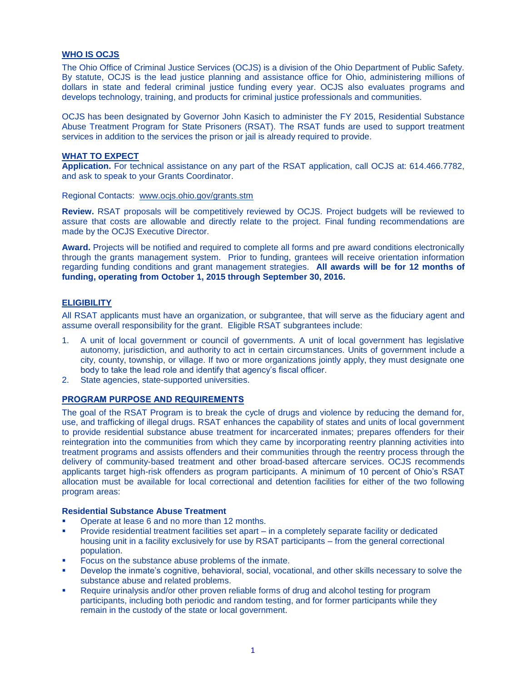#### **WHO IS OCJS**

The Ohio Office of Criminal Justice Services (OCJS) is a division of the Ohio Department of Public Safety. By statute, OCJS is the lead justice planning and assistance office for Ohio, administering millions of dollars in state and federal criminal justice funding every year. OCJS also evaluates programs and develops technology, training, and products for criminal justice professionals and communities.

OCJS has been designated by Governor John Kasich to administer the FY 2015, Residential Substance Abuse Treatment Program for State Prisoners (RSAT). The RSAT funds are used to support treatment services in addition to the services the prison or jail is already required to provide.

#### **WHAT TO EXPECT**

**Application.** For technical assistance on any part of the RSAT application, call OCJS at: 614.466.7782, and ask to speak to your Grants Coordinator.

Regional Contacts: [www.ocjs.ohio.gov/grants.stm](http://www.ocjs.ohio.gov/grants.stm)

**Review.** RSAT proposals will be competitively reviewed by OCJS. Project budgets will be reviewed to assure that costs are allowable and directly relate to the project. Final funding recommendations are made by the OCJS Executive Director.

**Award.** Projects will be notified and required to complete all forms and pre award conditions electronically through the grants management system. Prior to funding, grantees will receive orientation information regarding funding conditions and grant management strategies. **All awards will be for 12 months of funding, operating from October 1, 2015 through September 30, 2016.**

#### **ELIGIBILITY**

All RSAT applicants must have an organization, or subgrantee, that will serve as the fiduciary agent and assume overall responsibility for the grant. Eligible RSAT subgrantees include:

- 1. A unit of local government or council of governments. A unit of local government has legislative autonomy, jurisdiction, and authority to act in certain circumstances. Units of government include a city, county, township, or village. If two or more organizations jointly apply, they must designate one body to take the lead role and identify that agency's fiscal officer.
- 2. State agencies, state-supported universities.

#### **PROGRAM PURPOSE AND REQUIREMENTS**

The goal of the RSAT Program is to break the cycle of drugs and violence by reducing the demand for, use, and trafficking of illegal drugs. RSAT enhances the capability of states and units of local government to provide residential substance abuse treatment for incarcerated inmates; prepares offenders for their reintegration into the communities from which they came by incorporating reentry planning activities into treatment programs and assists offenders and their communities through the reentry process through the delivery of community-based treatment and other broad-based aftercare services. OCJS recommends applicants target high-risk offenders as program participants. A minimum of 10 percent of Ohio's RSAT allocation must be available for local correctional and detention facilities for either of the two following program areas:

#### **Residential Substance Abuse Treatment**

- Operate at lease 6 and no more than 12 months.
- Provide residential treatment facilities set apart in a completely separate facility or dedicated housing unit in a facility exclusively for use by RSAT participants – from the general correctional population.
- **Focus on the substance abuse problems of the inmate.**
- Develop the inmate's cognitive, behavioral, social, vocational, and other skills necessary to solve the substance abuse and related problems.
- Require urinalysis and/or other proven reliable forms of drug and alcohol testing for program participants, including both periodic and random testing, and for former participants while they remain in the custody of the state or local government.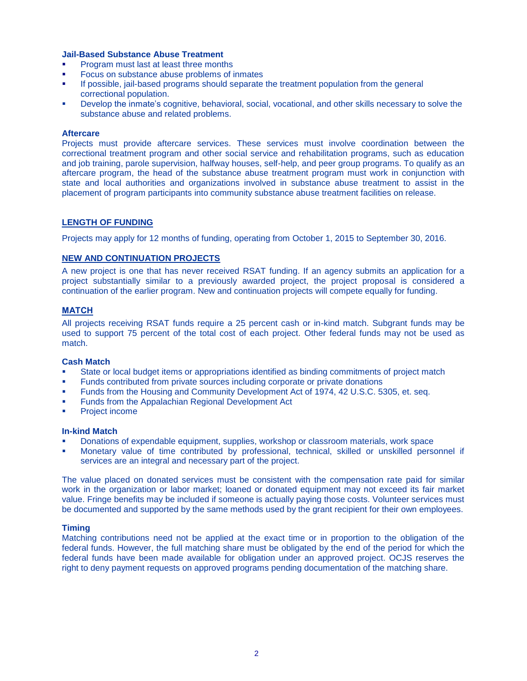#### **Jail-Based Substance Abuse Treatment**

- Program must last at least three months
- Focus on substance abuse problems of inmates
- If possible, jail-based programs should separate the treatment population from the general correctional population.
- Develop the inmate's cognitive, behavioral, social, vocational, and other skills necessary to solve the substance abuse and related problems.

#### **Aftercare**

Projects must provide aftercare services. These services must involve coordination between the correctional treatment program and other social service and rehabilitation programs, such as education and job training, parole supervision, halfway houses, self-help, and peer group programs. To qualify as an aftercare program, the head of the substance abuse treatment program must work in conjunction with state and local authorities and organizations involved in substance abuse treatment to assist in the placement of program participants into community substance abuse treatment facilities on release.

#### **LENGTH OF FUNDING**

Projects may apply for 12 months of funding, operating from October 1, 2015 to September 30, 2016.

#### **NEW AND CONTINUATION PROJECTS**

A new project is one that has never received RSAT funding. If an agency submits an application for a project substantially similar to a previously awarded project, the project proposal is considered a continuation of the earlier program. New and continuation projects will compete equally for funding.

#### **MATCH**

All projects receiving RSAT funds require a 25 percent cash or in-kind match. Subgrant funds may be used to support 75 percent of the total cost of each project. Other federal funds may not be used as match.

#### **Cash Match**

- State or local budget items or appropriations identified as binding commitments of project match
- Funds contributed from private sources including corporate or private donations
- Funds from the Housing and Community Development Act of 1974, 42 U.S.C. 5305, et. seq.
- Funds from the Appalachian Regional Development Act
- Project income

#### **In-kind Match**

- Donations of expendable equipment, supplies, workshop or classroom materials, work space
- Monetary value of time contributed by professional, technical, skilled or unskilled personnel if services are an integral and necessary part of the project.

The value placed on donated services must be consistent with the compensation rate paid for similar work in the organization or labor market; loaned or donated equipment may not exceed its fair market value. Fringe benefits may be included if someone is actually paying those costs. Volunteer services must be documented and supported by the same methods used by the grant recipient for their own employees.

#### **Timing**

Matching contributions need not be applied at the exact time or in proportion to the obligation of the federal funds. However, the full matching share must be obligated by the end of the period for which the federal funds have been made available for obligation under an approved project. OCJS reserves the right to deny payment requests on approved programs pending documentation of the matching share.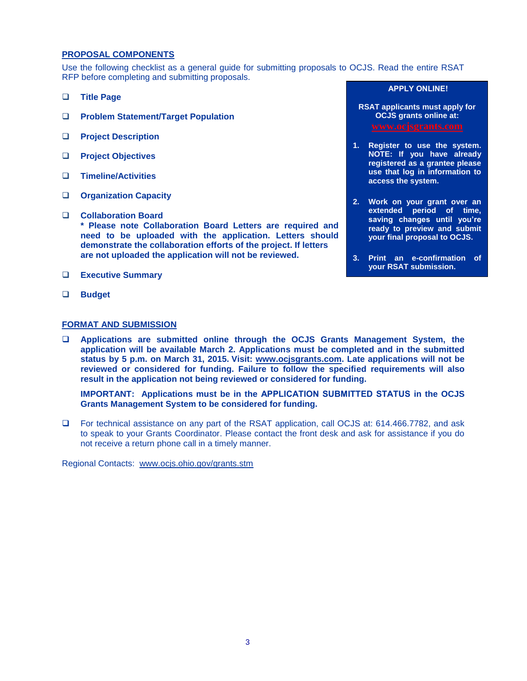#### **PROPOSAL COMPONENTS**

Use the following checklist as a general guide for submitting proposals to OCJS. Read the entire RSAT RFP before completing and submitting proposals.

- **Title Page**
- **Problem Statement/Target Population**
- **Project Description**
- **Project Objectives**
- **Timeline/Activities**
- **Organization Capacity**
- **Collaboration Board \* Please note Collaboration Board Letters are required and need to be uploaded with the application. Letters should demonstrate the collaboration efforts of the project. If letters are not uploaded the application will not be reviewed.**
- **Executive Summary**
- **Budget**

#### **FORMAT AND SUBMISSION**

 **Applications are submitted online through the OCJS Grants Management System, the application will be available March 2. Applications must be completed and in the submitted status by 5 p.m. on March 31, 2015. Visit: [www.ocjsgrants.com.](http://www.ocjsgrants.com/) Late applications will not be reviewed or considered for funding. Failure to follow the specified requirements will also result in the application not being reviewed or considered for funding.**

**IMPORTANT: Applications must be in the APPLICATION SUBMITTED STATUS in the OCJS Grants Management System to be considered for funding.**

 For technical assistance on any part of the RSAT application, call OCJS at: 614.466.7782, and ask to speak to your Grants Coordinator. Please contact the front desk and ask for assistance if you do not receive a return phone call in a timely manner.

Regional Contacts: [www.ocjs.ohio.gov/grants.stm](http://www.ocjs.ohio.gov/grants.stm)

#### **APPLY ONLINE!**

- **RSAT applicants must apply for OCJS grants online at:**
- **1. Register to use the system. NOTE: If you have already registered as a grantee please use that log in information to access the system.**
- **2. Work on your grant over an extended period of time, saving changes until you're ready to preview and submit your final proposal to OCJS.**
- **3. Print an e-confirmation of your RSAT submission.**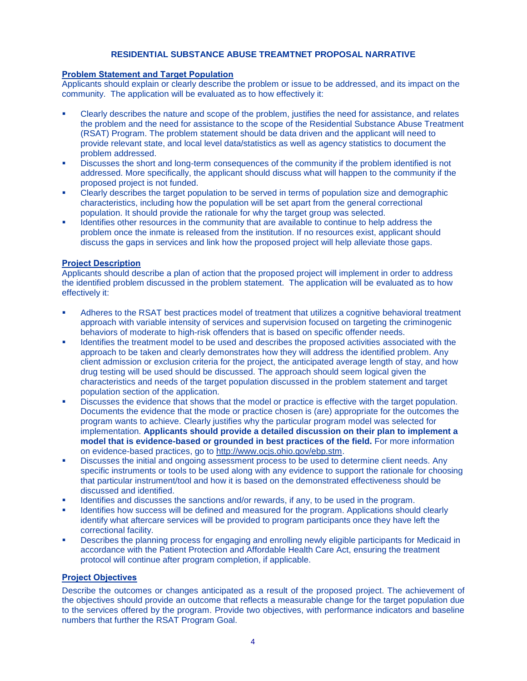#### **RESIDENTIAL SUBSTANCE ABUSE TREAMTNET PROPOSAL NARRATIVE**

#### **Problem Statement and Target Population**

Applicants should explain or clearly describe the problem or issue to be addressed, and its impact on the community. The application will be evaluated as to how effectively it:

- Clearly describes the nature and scope of the problem, justifies the need for assistance, and relates the problem and the need for assistance to the scope of the Residential Substance Abuse Treatment (RSAT) Program. The problem statement should be data driven and the applicant will need to provide relevant state, and local level data/statistics as well as agency statistics to document the problem addressed.
- Discusses the short and long-term consequences of the community if the problem identified is not addressed. More specifically, the applicant should discuss what will happen to the community if the proposed project is not funded.
- Clearly describes the target population to be served in terms of population size and demographic characteristics, including how the population will be set apart from the general correctional population. It should provide the rationale for why the target group was selected.
- Identifies other resources in the community that are available to continue to help address the problem once the inmate is released from the institution. If no resources exist, applicant should discuss the gaps in services and link how the proposed project will help alleviate those gaps.

#### **Project Description**

Applicants should describe a plan of action that the proposed project will implement in order to address the identified problem discussed in the problem statement. The application will be evaluated as to how effectively it:

- Adheres to the RSAT best practices model of treatment that utilizes a cognitive behavioral treatment approach with variable intensity of services and supervision focused on targeting the criminogenic behaviors of moderate to high-risk offenders that is based on specific offender needs.
- Identifies the treatment model to be used and describes the proposed activities associated with the approach to be taken and clearly demonstrates how they will address the identified problem. Any client admission or exclusion criteria for the project, the anticipated average length of stay, and how drug testing will be used should be discussed. The approach should seem logical given the characteristics and needs of the target population discussed in the problem statement and target population section of the application.
- Discusses the evidence that shows that the model or practice is effective with the target population. Documents the evidence that the mode or practice chosen is (are) appropriate for the outcomes the program wants to achieve. Clearly justifies why the particular program model was selected for implementation. **Applicants should provide a detailed discussion on their plan to implement a model that is evidence-based or grounded in best practices of the field.** For more information on evidence-based practices, go to [http://www.ocjs.ohio.gov/ebp.stm.](http://www.ocjs.ohio.gov/ebp.stm)
- Discusses the initial and ongoing assessment process to be used to determine client needs. Any specific instruments or tools to be used along with any evidence to support the rationale for choosing that particular instrument/tool and how it is based on the demonstrated effectiveness should be discussed and identified.
- Identifies and discusses the sanctions and/or rewards, if any, to be used in the program.
- Identifies how success will be defined and measured for the program. Applications should clearly identify what aftercare services will be provided to program participants once they have left the correctional facility.
- Describes the planning process for engaging and enrolling newly eligible participants for Medicaid in accordance with the Patient Protection and Affordable Health Care Act, ensuring the treatment protocol will continue after program completion, if applicable.

#### **Project Objectives**

Describe the outcomes or changes anticipated as a result of the proposed project. The achievement of the objectives should provide an outcome that reflects a measurable change for the target population due to the services offered by the program. Provide two objectives, with performance indicators and baseline numbers that further the RSAT Program Goal.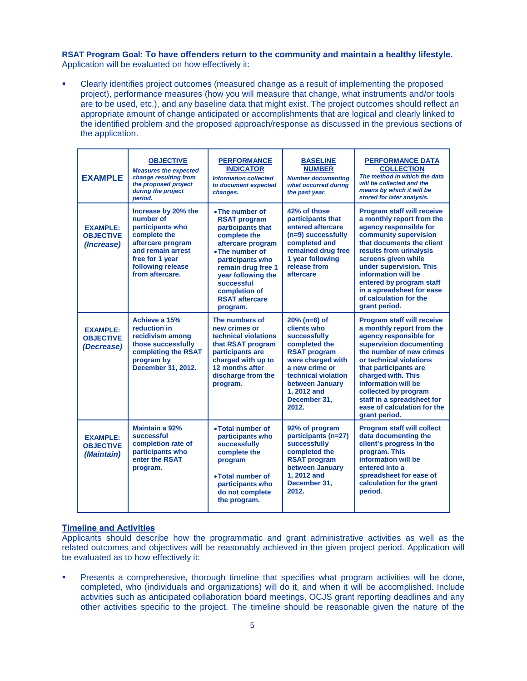**RSAT Program Goal: To have offenders return to the community and maintain a healthy lifestyle.** Application will be evaluated on how effectively it:

 Clearly identifies project outcomes (measured change as a result of implementing the proposed project), performance measures (how you will measure that change, what instruments and/or tools are to be used, etc.), and any baseline data that might exist. The project outcomes should reflect an appropriate amount of change anticipated or accomplishments that are logical and clearly linked to the identified problem and the proposed approach/response as discussed in the previous sections of the application.

| <b>EXAMPLE</b>                                    | <b>OBJECTIVE</b><br><b>Measures the expected</b><br>change resulting from<br>the proposed project<br>during the project<br>period.                                        | <b>PERFORMANCE</b><br><b>INDICATOR</b><br><b>Information collected</b><br>to document expected<br>changes.                                                                                                                                              | <b>BASELINE</b><br><b>NUMBER</b><br><b>Number documenting</b><br>what occurred during<br>the past year.                                                                                                        | <b>PERFORMANCE DATA</b><br><b>COLLECTION</b><br>The method in which the data<br>will be collected and the<br>means by which it will be<br>stored for later analysis.                                                                                                                                                                                   |
|---------------------------------------------------|---------------------------------------------------------------------------------------------------------------------------------------------------------------------------|---------------------------------------------------------------------------------------------------------------------------------------------------------------------------------------------------------------------------------------------------------|----------------------------------------------------------------------------------------------------------------------------------------------------------------------------------------------------------------|--------------------------------------------------------------------------------------------------------------------------------------------------------------------------------------------------------------------------------------------------------------------------------------------------------------------------------------------------------|
| <b>EXAMPLE:</b><br><b>OBJECTIVE</b><br>(Increase) | Increase by 20% the<br>number of<br>participants who<br>complete the<br>aftercare program<br>and remain arrest<br>free for 1 year<br>following release<br>from aftercare. | • The number of<br><b>RSAT program</b><br>participants that<br>complete the<br>aftercare program<br>• The number of<br>participants who<br>remain drug free 1<br>year following the<br>successful<br>completion of<br><b>RSAT aftercare</b><br>program. | 42% of those<br>participants that<br>entered aftercare<br>$(n=9)$ successfully<br>completed and<br>remained drug free<br>1 year following<br>release from<br>aftercare                                         | <b>Program staff will receive</b><br>a monthly report from the<br>agency responsible for<br>community supervision<br>that documents the client<br>results from urinalysis<br>screens given while<br>under supervision. This<br>information will be<br>entered by program staff<br>in a spreadsheet for ease<br>of calculation for the<br>grant period. |
| <b>EXAMPLE:</b><br><b>OBJECTIVE</b><br>(Decrease) | Achieve a 15%<br>reduction in<br>recidivism among<br>those successfully<br>completing the RSAT<br>program by<br>December 31, 2012.                                        | The numbers of<br>new crimes or<br>technical violations<br>that RSAT program<br>participants are<br>charged with up to<br>12 months after<br>discharge from the<br>program.                                                                             | $20%$ (n=6) of<br>clients who<br>successfully<br>completed the<br><b>RSAT program</b><br>were charged with<br>a new crime or<br>technical violation<br>between January<br>1, 2012 and<br>December 31.<br>2012. | <b>Program staff will receive</b><br>a monthly report from the<br>agency responsible for<br>supervision documenting<br>the number of new crimes<br>or technical violations<br>that participants are<br>charged with. This<br>information will be<br>collected by program<br>staff in a spreadsheet for<br>ease of calculation for the<br>grant period. |
| <b>EXAMPLE:</b><br><b>OBJECTIVE</b><br>(Maintain) | Maintain a 92%<br>successful<br>completion rate of<br>participants who<br>enter the RSAT<br>program.                                                                      | • Total number of<br>participants who<br>successfully<br>complete the<br>program<br>• Total number of<br>participants who<br>do not complete<br>the program.                                                                                            | 92% of program<br>participants (n=27)<br>successfully<br>completed the<br><b>RSAT program</b><br>between January<br>1.2012 and<br>December 31,<br>2012.                                                        | <b>Program staff will collect</b><br>data documenting the<br>client's progress in the<br>program. This<br>information will be<br>entered into a<br>spreadsheet for ease of<br>calculation for the grant<br>period.                                                                                                                                     |

#### **Timeline and Activities**

Applicants should describe how the programmatic and grant administrative activities as well as the related outcomes and objectives will be reasonably achieved in the given project period. Application will be evaluated as to how effectively it:

Presents a comprehensive, thorough timeline that specifies what program activities will be done, completed, who (individuals and organizations) will do it, and when it will be accomplished. Include activities such as anticipated collaboration board meetings, OCJS grant reporting deadlines and any other activities specific to the project. The timeline should be reasonable given the nature of the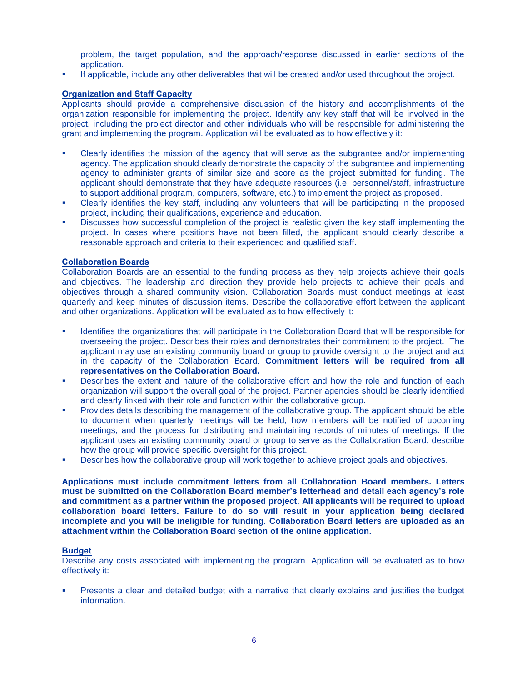problem, the target population, and the approach/response discussed in earlier sections of the application.

If applicable, include any other deliverables that will be created and/or used throughout the project.

#### **Organization and Staff Capacity**

Applicants should provide a comprehensive discussion of the history and accomplishments of the organization responsible for implementing the project. Identify any key staff that will be involved in the project, including the project director and other individuals who will be responsible for administering the grant and implementing the program. Application will be evaluated as to how effectively it:

- Clearly identifies the mission of the agency that will serve as the subgrantee and/or implementing agency. The application should clearly demonstrate the capacity of the subgrantee and implementing agency to administer grants of similar size and score as the project submitted for funding. The applicant should demonstrate that they have adequate resources (i.e. personnel/staff, infrastructure to support additional program, computers, software, etc.) to implement the project as proposed.
- Clearly identifies the key staff, including any volunteers that will be participating in the proposed project, including their qualifications, experience and education.
- Discusses how successful completion of the project is realistic given the key staff implementing the project. In cases where positions have not been filled, the applicant should clearly describe a reasonable approach and criteria to their experienced and qualified staff.

#### **Collaboration Boards**

Collaboration Boards are an essential to the funding process as they help projects achieve their goals and objectives. The leadership and direction they provide help projects to achieve their goals and objectives through a shared community vision. Collaboration Boards must conduct meetings at least quarterly and keep minutes of discussion items. Describe the collaborative effort between the applicant and other organizations. Application will be evaluated as to how effectively it:

- Identifies the organizations that will participate in the Collaboration Board that will be responsible for overseeing the project. Describes their roles and demonstrates their commitment to the project. The applicant may use an existing community board or group to provide oversight to the project and act in the capacity of the Collaboration Board. **Commitment letters will be required from all representatives on the Collaboration Board.**
- Describes the extent and nature of the collaborative effort and how the role and function of each organization will support the overall goal of the project. Partner agencies should be clearly identified and clearly linked with their role and function within the collaborative group.
- Provides details describing the management of the collaborative group. The applicant should be able to document when quarterly meetings will be held, how members will be notified of upcoming meetings, and the process for distributing and maintaining records of minutes of meetings. If the applicant uses an existing community board or group to serve as the Collaboration Board, describe how the group will provide specific oversight for this project.
- Describes how the collaborative group will work together to achieve project goals and objectives.

**Applications must include commitment letters from all Collaboration Board members. Letters must be submitted on the Collaboration Board member's letterhead and detail each agency's role and commitment as a partner within the proposed project. All applicants will be required to upload collaboration board letters. Failure to do so will result in your application being declared incomplete and you will be ineligible for funding. Collaboration Board letters are uploaded as an attachment within the Collaboration Board section of the online application.** 

#### **Budget**

Describe any costs associated with implementing the program. Application will be evaluated as to how effectively it:

 Presents a clear and detailed budget with a narrative that clearly explains and justifies the budget information.